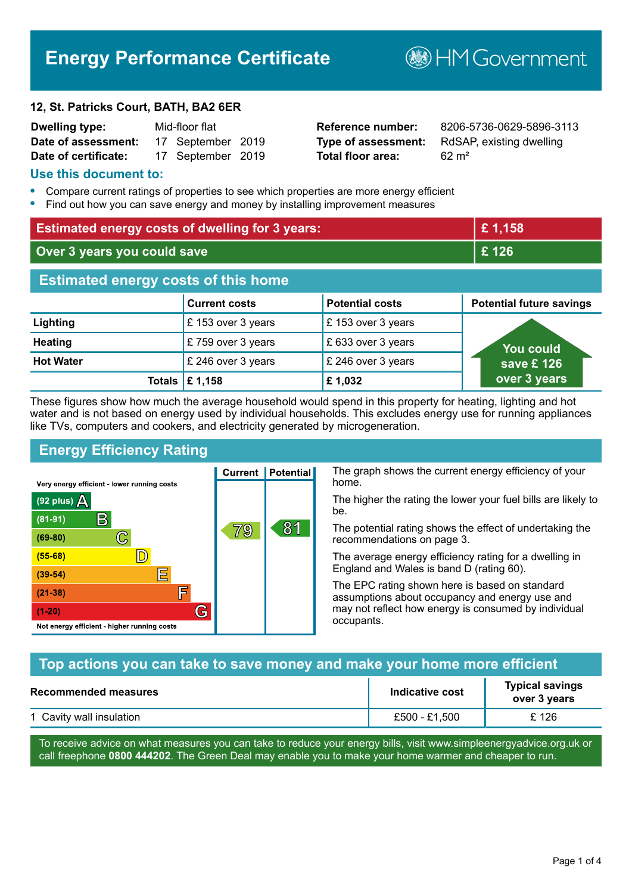# **Energy Performance Certificate**

#### **12, St. Patricks Court, BATH, BA2 6ER**

| <b>Dwelling type:</b> | Mid-floor flat |                   |  |
|-----------------------|----------------|-------------------|--|
| Date of assessment:   |                | 17 September 2019 |  |
| Date of certificate:  |                | 17 September 2019 |  |

# **Total floor area:** 62 m<sup>2</sup>

**Reference number:** 8206-5736-0629-5896-3113 **Type of assessment:** RdSAP, existing dwelling

**B**HMGovernment

#### **Use this document to:**

- **•** Compare current ratings of properties to see which properties are more energy efficient
- **•** Find out how you can save energy and money by installing improvement measures

| <b>Estimated energy costs of dwelling for 3 years:</b> |                           |                        | £1,158                          |
|--------------------------------------------------------|---------------------------|------------------------|---------------------------------|
| Over 3 years you could save                            |                           | £126                   |                                 |
| <b>Estimated energy costs of this home</b>             |                           |                        |                                 |
|                                                        | <b>Current costs</b>      | <b>Potential costs</b> | <b>Potential future savings</b> |
| Lighting                                               | £153 over 3 years         | £153 over 3 years      |                                 |
| <b>Heating</b>                                         | £759 over 3 years         | £633 over 3 years      | <b>You could</b>                |
| <b>Hot Water</b>                                       | £ 246 over 3 years        | £ 246 over 3 years     | save £ 126                      |
|                                                        | Totals $\mathsf{E}$ 1,158 | £1,032                 | over 3 years                    |

These figures show how much the average household would spend in this property for heating, lighting and hot water and is not based on energy used by individual households. This excludes energy use for running appliances like TVs, computers and cookers, and electricity generated by microgeneration.

**Current | Potential** 

79

# **Energy Efficiency Rating**

 $\mathbb{C}$ 

 $\mathbb{D}$ 

E

肩

G

Very energy efficient - lower running costs

 $\mathsf{R}% _{T}$ 

Not energy efficient - higher running costs

(92 plus)  $\Delta$ 

 $(81 - 91)$ 

 $(69 - 80)$ 

 $(55-68)$ 

 $(39 - 54)$ 

 $(21-38)$ 

 $(1-20)$ 

The graph shows the current energy efficiency of your home.

The higher the rating the lower your fuel bills are likely to be.

The potential rating shows the effect of undertaking the recommendations on page 3.

The average energy efficiency rating for a dwelling in England and Wales is band D (rating 60).

The EPC rating shown here is based on standard assumptions about occupancy and energy use and may not reflect how energy is consumed by individual occupants.

# **Top actions you can take to save money and make your home more efficient**

81

| Recommended measures     | Indicative cost | <b>Typical savings</b><br>over 3 years |
|--------------------------|-----------------|----------------------------------------|
| 1 Cavity wall insulation | £500 - £1.500   | £ 126                                  |

To receive advice on what measures you can take to reduce your energy bills, visit www.simpleenergyadvice.org.uk or call freephone **0800 444202**. The Green Deal may enable you to make your home warmer and cheaper to run.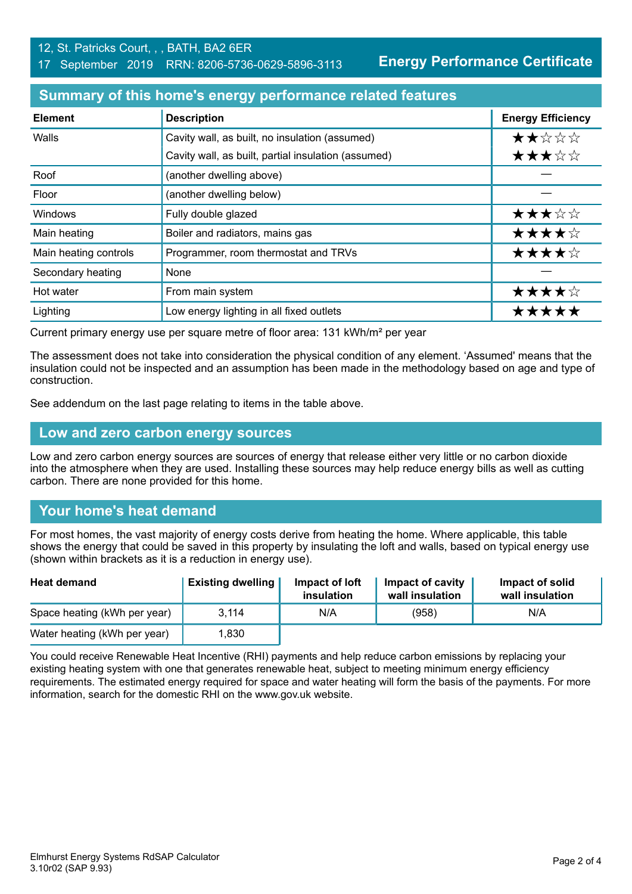**Energy Performance Certificate**

#### **Summary of this home's energy performance related features**

| <b>Element</b>        | <b>Description</b>                                  | <b>Energy Efficiency</b> |
|-----------------------|-----------------------------------------------------|--------------------------|
| Walls                 | Cavity wall, as built, no insulation (assumed)      | ★★☆☆☆                    |
|                       | Cavity wall, as built, partial insulation (assumed) | ★★★☆☆                    |
| Roof                  | (another dwelling above)                            |                          |
| Floor                 | (another dwelling below)                            |                          |
| Windows               | Fully double glazed                                 | ★★★☆☆                    |
| Main heating          | Boiler and radiators, mains gas                     | ★★★★☆                    |
| Main heating controls | Programmer, room thermostat and TRVs                | ★★★★☆                    |
| Secondary heating     | None                                                |                          |
| Hot water             | From main system                                    | ★★★★☆                    |
| Lighting              | Low energy lighting in all fixed outlets            | ★★★★                     |

Current primary energy use per square metre of floor area: 131 kWh/m² per year

The assessment does not take into consideration the physical condition of any element. 'Assumed' means that the insulation could not be inspected and an assumption has been made in the methodology based on age and type of construction.

See addendum on the last page relating to items in the table above.

#### **Low and zero carbon energy sources**

Low and zero carbon energy sources are sources of energy that release either very little or no carbon dioxide into the atmosphere when they are used. Installing these sources may help reduce energy bills as well as cutting carbon. There are none provided for this home.

# **Your home's heat demand**

For most homes, the vast majority of energy costs derive from heating the home. Where applicable, this table shows the energy that could be saved in this property by insulating the loft and walls, based on typical energy use (shown within brackets as it is a reduction in energy use).

| <b>Heat demand</b>           | <b>Existing dwelling</b> | Impact of loft<br>insulation | Impact of cavity<br>wall insulation | Impact of solid<br>wall insulation |
|------------------------------|--------------------------|------------------------------|-------------------------------------|------------------------------------|
| Space heating (kWh per year) | 3.114                    | N/A                          | (958)                               | N/A                                |
| Water heating (kWh per year) | 1.830                    |                              |                                     |                                    |

You could receive Renewable Heat Incentive (RHI) payments and help reduce carbon emissions by replacing your existing heating system with one that generates renewable heat, subject to meeting minimum energy efficiency requirements. The estimated energy required for space and water heating will form the basis of the payments. For more information, search for the domestic RHI on the www.gov.uk website.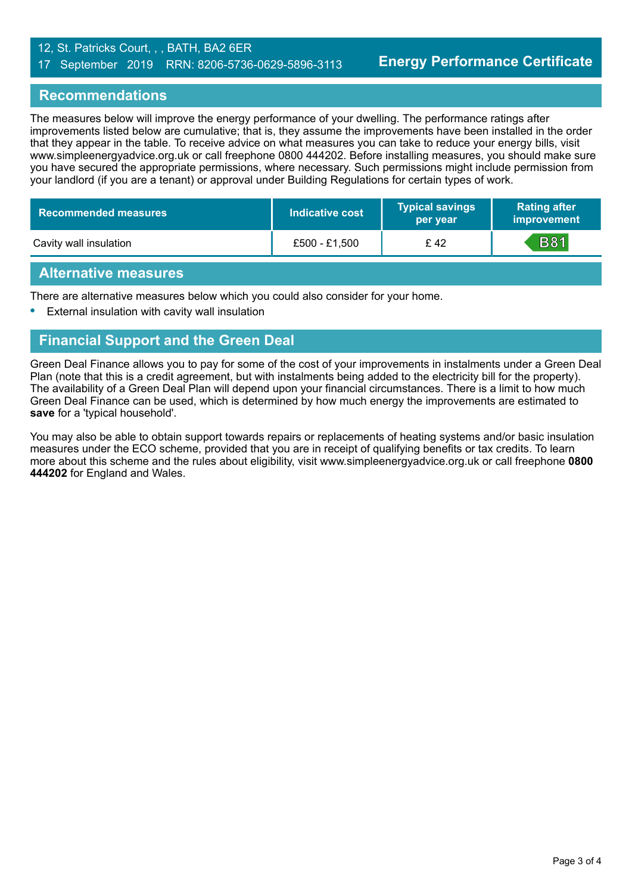#### 12, St. Patricks Court, , , BATH, BA2 6ER 17 September 2019 RRN: 8206-5736-0629-5896-3113

#### **Recommendations**

The measures below will improve the energy performance of your dwelling. The performance ratings after improvements listed below are cumulative; that is, they assume the improvements have been installed in the order that they appear in the table. To receive advice on what measures you can take to reduce your energy bills, visit www.simpleenergyadvice.org.uk or call freephone 0800 444202. Before installing measures, you should make sure you have secured the appropriate permissions, where necessary. Such permissions might include permission from your landlord (if you are a tenant) or approval under Building Regulations for certain types of work.

| Recommended measures   | Indicative cost | <b>Typical savings</b><br>per year | <b>Rating after</b><br>improvement |
|------------------------|-----------------|------------------------------------|------------------------------------|
| Cavity wall insulation | £500 - £1,500   | £42                                | <b>B81</b>                         |

#### **Alternative measures**

There are alternative measures below which you could also consider for your home.

**•** External insulation with cavity wall insulation

#### **Financial Support and the Green Deal**

Green Deal Finance allows you to pay for some of the cost of your improvements in instalments under a Green Deal Plan (note that this is a credit agreement, but with instalments being added to the electricity bill for the property). The availability of a Green Deal Plan will depend upon your financial circumstances. There is a limit to how much Green Deal Finance can be used, which is determined by how much energy the improvements are estimated to **save** for a 'typical household'.

You may also be able to obtain support towards repairs or replacements of heating systems and/or basic insulation measures under the ECO scheme, provided that you are in receipt of qualifying benefits or tax credits. To learn more about this scheme and the rules about eligibility, visit www.simpleenergyadvice.org.uk or call freephone **0800 444202** for England and Wales.